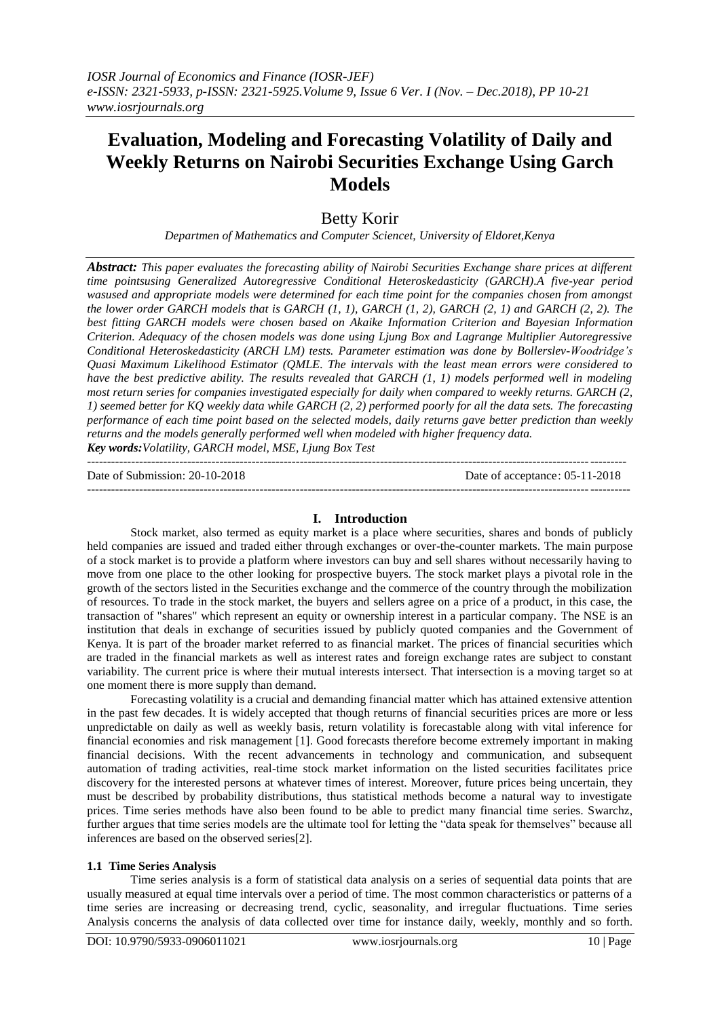# **Evaluation, Modeling and Forecasting Volatility of Daily and Weekly Returns on Nairobi Securities Exchange Using Garch Models**

# Betty Korir

*Departmen of Mathematics and Computer Sciencet, University of Eldoret,Kenya*

*Abstract: This paper evaluates the forecasting ability of Nairobi Securities Exchange share prices at different time pointsusing Generalized Autoregressive Conditional Heteroskedasticity (GARCH).A five-year period wasused and appropriate models were determined for each time point for the companies chosen from amongst the lower order GARCH models that is GARCH (1, 1), GARCH (1, 2), GARCH (2, 1) and GARCH (2, 2). The best fitting GARCH models were chosen based on Akaike Information Criterion and Bayesian Information Criterion. Adequacy of the chosen models was done using Ljung Box and Lagrange Multiplier Autoregressive Conditional Heteroskedasticity (ARCH LM) tests. Parameter estimation was done by Bollerslev-Woodridge's Quasi Maximum Likelihood Estimator (QMLE. The intervals with the least mean errors were considered to have the best predictive ability. The results revealed that GARCH (1, 1) models performed well in modeling most return series for companies investigated especially for daily when compared to weekly returns. GARCH (2, 1) seemed better for KQ weekly data while GARCH (2, 2) performed poorly for all the data sets. The forecasting performance of each time point based on the selected models, daily returns gave better prediction than weekly returns and the models generally performed well when modeled with higher frequency data. Key words:Volatility, GARCH model, MSE, Ljung Box Test*

Date of Submission: 20-10-2018 Date of acceptance: 05-11-2018

--------------------------------------------------------------------------------------------------------------------------------------

## **I. Introduction**

---------------------------------------------------------------------------------------------------------------------------------------

Stock market, also termed as equity market is a place where securities, shares and bonds of publicly held companies are issued and traded either through exchanges or over-the-counter markets. The main purpose of a stock market is to provide a platform where investors can buy and sell shares without necessarily having to move from one place to the other looking for prospective buyers. The stock market plays a pivotal role in the growth of the sectors listed in the Securities exchange and the commerce of the country through the mobilization of resources. To trade in the stock market, the buyers and sellers agree on a price of a product, in this case, the transaction of "shares" which represent an equity or ownership interest in a particular company. The NSE is an institution that deals in exchange of securities issued by publicly quoted companies and the Government of Kenya. It is part of the broader market referred to as financial market. The prices of financial securities which are traded in the financial markets as well as interest rates and foreign exchange rates are subject to constant variability. The current price is where their mutual interests intersect. That intersection is a moving target so at one moment there is more supply than demand.

Forecasting volatility is a crucial and demanding financial matter which has attained extensive attention in the past few decades. It is widely accepted that though returns of financial securities prices are more or less unpredictable on daily as well as weekly basis, return volatility is forecastable along with vital inference for financial economies and risk management [1]. Good forecasts therefore become extremely important in making financial decisions. With the recent advancements in technology and communication, and subsequent automation of trading activities, real-time stock market information on the listed securities facilitates price discovery for the interested persons at whatever times of interest. Moreover, future prices being uncertain, they must be described by probability distributions, thus statistical methods become a natural way to investigate prices. Time series methods have also been found to be able to predict many financial time series. Swarchz, further argues that time series models are the ultimate tool for letting the "data speak for themselves" because all inferences are based on the observed series[2].

## **1.1 Time Series Analysis**

Time series analysis is a form of statistical data analysis on a series of sequential data points that are usually measured at equal time intervals over a period of time. The most common characteristics or patterns of a time series are increasing or decreasing trend, cyclic, seasonality, and irregular fluctuations. Time series Analysis concerns the analysis of data collected over time for instance daily, weekly, monthly and so forth.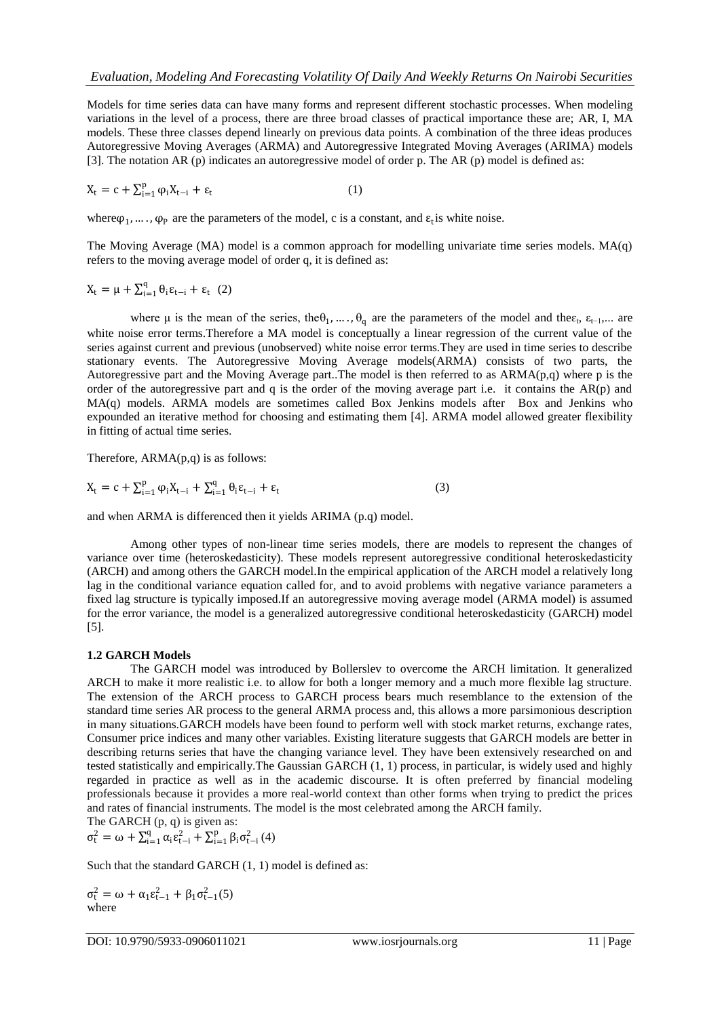Models for time series data can have many forms and represent different [stochastic processes.](http://en.wikipedia.org/wiki/Stochastic_processes) When modeling variations in the level of a process, there are three broad classes of practical importance these are; AR, I, MA models. These three classes depend linearly on previous data points. A combination of the three ideas produces Autoregressive Moving Averages (ARMA) and Autoregressive Integrated Moving Averages (ARIMA) models [3]. The notation AR (p) indicates an autoregressive model of order p. The AR (p) model is defined as:

$$
X_t = c + \sum_{i=1}^p \varphi_i X_{t-i} + \varepsilon_t \tag{1}
$$

where  $\varphi_1, \ldots, \varphi_P$  are the parameters of the model, c is a constant, and  $\epsilon_t$  is [white noise.](https://en.wikipedia.org/wiki/White_noise)

The Moving Average (MA) model is a common approach for modelling univariate time series models. MA(q) refers to the moving average model of order q, it is defined as:

$$
X_t = \mu + \textstyle \sum_{i=1}^q \theta_i \epsilon_{t-i} + \epsilon_t \ (2)
$$

where  $\mu$  is the mean of the series, the  $\theta_1, \ldots, \theta_q$  are the parameters of the model and the  $\varepsilon_t$ ,  $\varepsilon_{t-1}, \ldots$  are [white noise](https://en.wikipedia.org/wiki/White_noise) error terms. Therefore a MA model is conceptually a linear regression of the current value of the series against current and previous (unobserved) white noise error terms.They are used in time series to describe stationary events. The Autoregressive Moving Average models(ARMA) consists of two parts, the Autoregressive part and the Moving Average part..The model is then referred to as ARMA(p,q) where p is the order of the autoregressive part and q is the order of the moving average part i.e. it contains the AR(p) and MA(q) models. ARMA models are sometimes called Box Jenkins models after Box and Jenkins who expounded an iterative method for choosing and estimating them [4]. ARMA model allowed greater flexibility in fitting of actual time series.

Therefore, ARMA(p,q) is as follows:

$$
X_{t} = c + \sum_{i=1}^{p} \varphi_{i} X_{t-i} + \sum_{i=1}^{q} \theta_{i} \varepsilon_{t-i} + \varepsilon_{t}
$$
\n(3)

and when ARMA is differenced then it yields ARIMA (p.q) model.

Among other types of non-linear time series models, there are models to represent the changes of variance over time (heteroskedasticity). These models represent [autoregressive conditional heteroskedasticity](http://en.wikipedia.org/wiki/Autoregressive_conditional_heteroskedasticity) (ARCH) and among others the GARCH model.In the empirical application of the ARCH model a relatively long lag in the conditional variance equation called for, and to avoid problems with negative variance parameters a fixed lag structure is typically imposed.If an [autoregressive moving average model](http://en.wikipedia.org/wiki/Autoregressive_moving_average_model) (ARMA model) is assumed for the error variance, the model is a generalized autoregressive conditional heteroskedasticity (GARCH) model [5].

## **1.2 GARCH Models**

The GARCH model was introduced by Bollerslev to overcome the ARCH limitation. It generalized ARCH to make it more realistic i.e. to allow for both a longer memory and a much more flexible lag structure. The extension of the ARCH process to GARCH process bears much resemblance to the extension of the standard time series AR process to the general ARMA process and, this allows a more parsimonious description in many situations.GARCH models have been found to perform well with stock market returns, exchange rates, Consumer price indices and many other variables. Existing literature suggests that GARCH models are better in describing returns series that have the changing variance level. They have been extensively researched on and tested statistically and empirically.The Gaussian GARCH (1, 1) process, in particular, is widely used and highly regarded in practice as well as in the academic discourse. It is often preferred by financial modeling professionals because it provides a more real-world context than other forms when trying to predict the prices and rates of financial instruments. The model is the most celebrated among the ARCH family. The GARCH (p, q) is given as:

$$
\sigma_{t}^{2} = \omega + \sum_{i=1}^{q} \alpha_{i} \epsilon_{t-i}^{2} + \sum_{i=1}^{p} \beta_{i} \sigma_{t-i}^{2} (4)
$$

Such that the standard GARCH  $(1, 1)$  model is defined as:

$$
\sigma_t^2 = \omega + \alpha_1 \epsilon_{t-1}^2 + \beta_1 \sigma_{t-1}^2(5)
$$
  
where

DOI: 10.9790/5933-0906011021 www.iosrjournals.org 11 | Page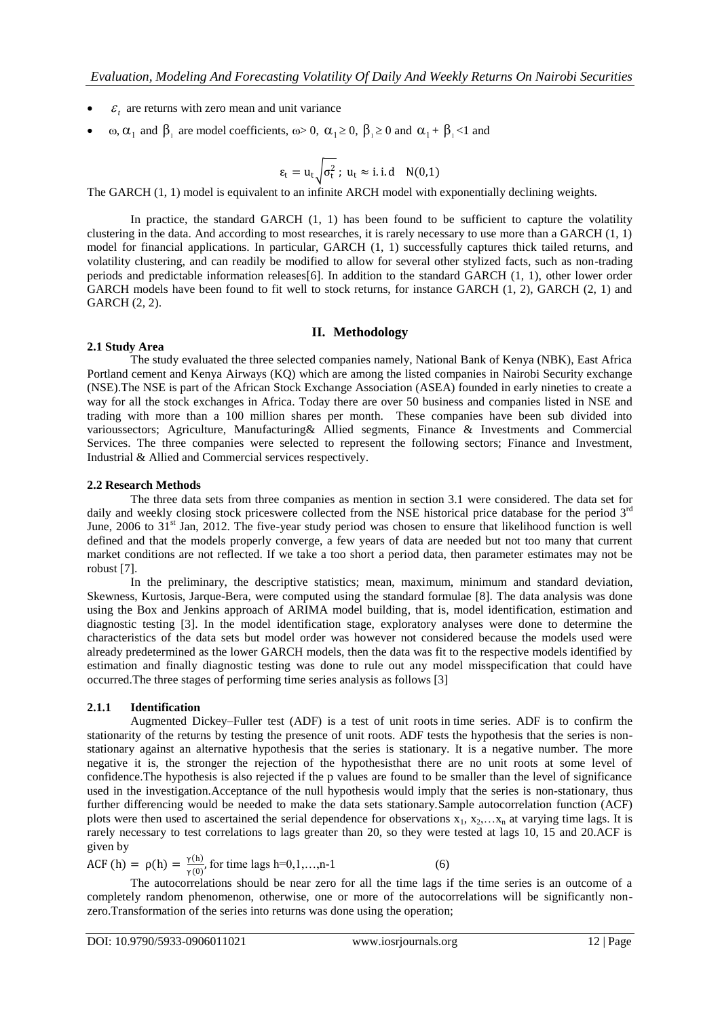- $\bullet$   $\varepsilon$ <sub>t</sub> are returns with zero mean and unit variance
- $\omega$ ,  $\alpha_1$  and  $\beta_1$  are model coefficients,  $\omega > 0$ ,  $\alpha_1 \ge 0$ ,  $\beta_1 \ge 0$  and  $\alpha_1 + \beta_1 < 1$  and

$$
\epsilon_t = u_t \sqrt{\sigma_t^2} \; ; \; u_t \approx i.i.d \quad N(0,1)
$$

The GARCH (1, 1) model is equivalent to an infinite ARCH model with exponentially declining weights.

In practice, the standard GARCH (1, 1) has been found to be sufficient to capture the volatility clustering in the data. And according to most researches, it is rarely necessary to use more than a GARCH (1, 1) model for financial applications. In particular, GARCH (1, 1) successfully captures thick tailed returns, and volatility clustering, and can readily be modified to allow for several other stylized facts, such as non-trading periods and predictable information releases[6]. In addition to the standard GARCH (1, 1), other lower order GARCH models have been found to fit well to stock returns, for instance GARCH  $(1, 2)$ , GARCH  $(2, 1)$  and GARCH (2, 2).

#### **II. Methodology**

#### **2.1 Study Area**

The study evaluated the three selected companies namely, National Bank of Kenya (NBK), East Africa Portland cement and Kenya Airways (KQ) which are among the listed companies in Nairobi Security exchange (NSE).The NSE is part of the African Stock Exchange Association (ASEA) founded in early nineties to create a way for all the stock exchanges in Africa. Today there are over 50 business and companies listed in NSE and trading with more than a 100 million shares per month. These companies have been sub divided into varioussectors; Agriculture, Manufacturing& Allied segments, Finance & Investments and Commercial Services. The three companies were selected to represent the following sectors; Finance and Investment, Industrial & Allied and Commercial services respectively.

#### **2.2 Research Methods**

The three data sets from three companies as mention in section 3.1 were considered. The data set for daily and weekly closing stock priceswere collected from the NSE historical price database for the period  $3<sup>rd</sup>$ June, 2006 to 31<sup>st</sup> Jan, 2012. The five-year study period was chosen to ensure that likelihood function is well defined and that the models properly converge, a few years of data are needed but not too many that current market conditions are not reflected. If we take a too short a period data, then parameter estimates may not be robust [7].

In the preliminary, the descriptive statistics; mean, maximum, minimum and standard deviation, Skewness, Kurtosis, Jarque-Bera, were computed using the standard formulae [8]. The data analysis was done using the Box and Jenkins approach of ARIMA model building, that is, model identification, estimation and diagnostic testing [3]. In the model identification stage, exploratory analyses were done to determine the characteristics of the data sets but model order was however not considered because the models used were already predetermined as the lower GARCH models, then the data was fit to the respective models identified by estimation and finally diagnostic testing was done to rule out any model misspecification that could have occurred.The three stages of performing time series analysis as follows [3]

#### **2.1.1 Identification**

Augmented Dickey–Fuller test (ADF) is a test of [unit roots](http://en.wikipedia.org/wiki/Unit_root) in [time series.](http://en.wikipedia.org/wiki/Time_series) ADF is to confirm the stationarity of the returns by testing the presence of unit roots. ADF tests the hypothesis that the series is nonstationary against an alternative hypothesis that the series is stationary. It is a negative number. The more negative it is, the stronger the rejection of the hypothesisthat there are no unit roots at some level of confidence.The hypothesis is also rejected if the p values are found to be smaller than the level of significance used in the investigation.Acceptance of the null hypothesis would imply that the series is non-stationary, thus further differencing would be needed to make the data sets stationary.Sample autocorrelation function (ACF) plots were then used to ascertained the serial dependence for observations  $x_1, x_2, \ldots, x_n$  at varying time lags. It is rarely necessary to test correlations to lags greater than 20, so they were tested at lags 10, 15 and 20.ACF is given by

ACF (h) =  $\rho(h) = \frac{\gamma(h)}{\gamma(0)}$ 

 $\frac{\gamma(n)}{\gamma(0)}$ , for time lags h=0,1,...,n-1 (6)

The autocorrelations should be near zero for all the time lags if the time series is an outcome of a completely random phenomenon, otherwise, one or more of the autocorrelations will be significantly nonzero.Transformation of the series into returns was done using the operation;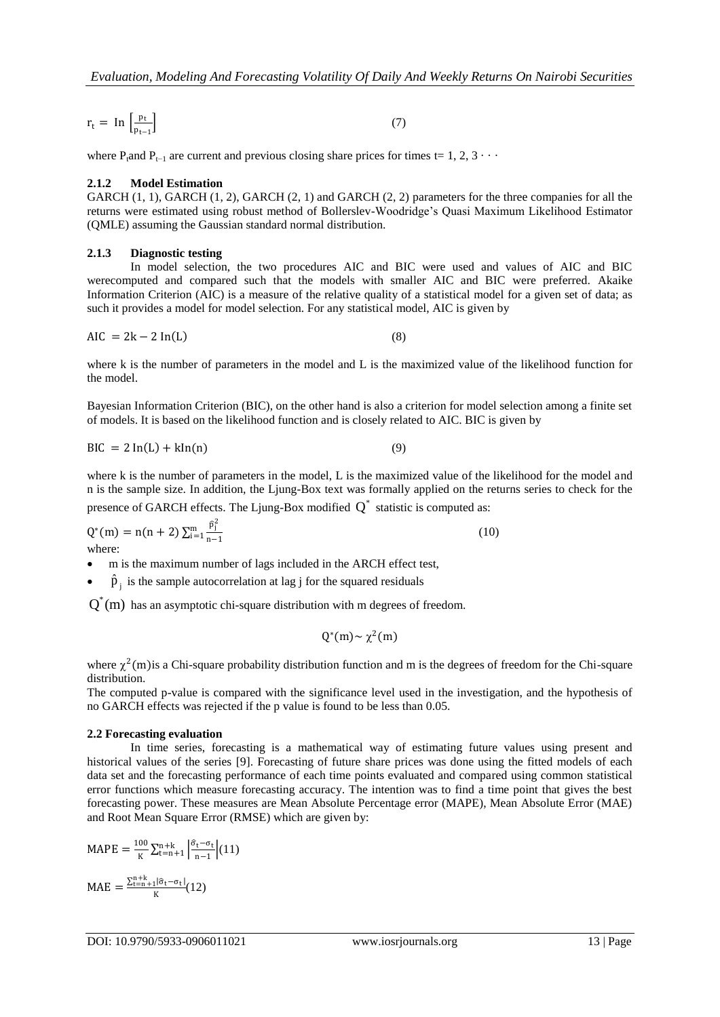$$
r_{t} = \ln \left[ \frac{p_{t}}{p_{t-1}} \right] \tag{7}
$$

where P<sub>tand</sub> P<sub>t−1</sub> are current and previous closing share prices for times t= 1, 2, 3 · · ·

#### **2.1.2 Model Estimation**

GARCH  $(1, 1)$ , GARCH  $(1, 2)$ , GARCH  $(2, 1)$  and GARCH  $(2, 2)$  parameters for the three companies for all the returns were estimated using robust method of Bollerslev-Woodridge's Quasi Maximum Likelihood Estimator (QMLE) assuming the Gaussian standard normal distribution.

#### **2.1.3 Diagnostic testing**

In model selection, the two procedures AIC and BIC were used and values of AIC and BIC werecomputed and compared such that the models with smaller AIC and BIC were preferred. Akaike Information Criterion (AIC) is a measure of the relative quality of a statistical model for a given set of data; as such it provides a model for model selection. For any statistical model, AIC is given by

$$
AIC = 2k - 2 \ln(L) \tag{8}
$$

where k is the number of parameters in the model and L is the maximized value of the likelihood function for the model.

Bayesian Information Criterion (BIC), on the other hand is also a criterion for model selection among a finite set of models. It is based on the likelihood function and is closely related to AIC. BIC is given by

$$
BIC = 2 \ln(L) + k \ln(n) \tag{9}
$$

where k is the number of parameters in the model, L is the maximized value of the likelihood for the model and n is the sample size. In addition, the Ljung-Box text was formally applied on the returns series to check for the presence of GARCH effects. The Ljung-Box modified  $Q^*$  statistic is computed as:

$$
Q^*(m) = n(n+2) \sum_{i=1}^m \frac{\hat{p}_i^2}{n-1}
$$
 (10) where:

m is the maximum number of lags included in the ARCH effect test,

•  $\hat{p}_j$  is the sample autocorrelation at lag j for the squared residuals

 $Q^*(m)$  has an asymptotic chi-square distribution with m degrees of freedom.

$$
Q^*(m) \sim \chi^2(m)
$$

where  $\chi^2$ (m) is a Chi-square probability distribution function and m is the degrees of freedom for the Chi-square distribution.

The computed p-value is compared with the significance level used in the investigation, and the hypothesis of no GARCH effects was rejected if the p value is found to be less than 0.05.

#### **2.2 Forecasting evaluation**

In time series, forecasting is a mathematical way of estimating future values using present and historical values of the series [9]. Forecasting of future share prices was done using the fitted models of each data set and the forecasting performance of each time points evaluated and compared using common statistical error functions which measure forecasting accuracy. The intention was to find a time point that gives the best forecasting power. These measures are Mean Absolute Percentage error (MAPE), Mean Absolute Error (MAE) and Root Mean Square Error (RMSE) which are given by:

$$
MAPE = \frac{100}{K} \sum_{t=n+1}^{n+k} \left| \frac{\hat{\sigma}_t - \sigma_t}{n-1} \right| (11)
$$

$$
MAE = \frac{\sum_{t=n+1}^{n+k} |\hat{\sigma}_t - \sigma_t|}{K} (12)
$$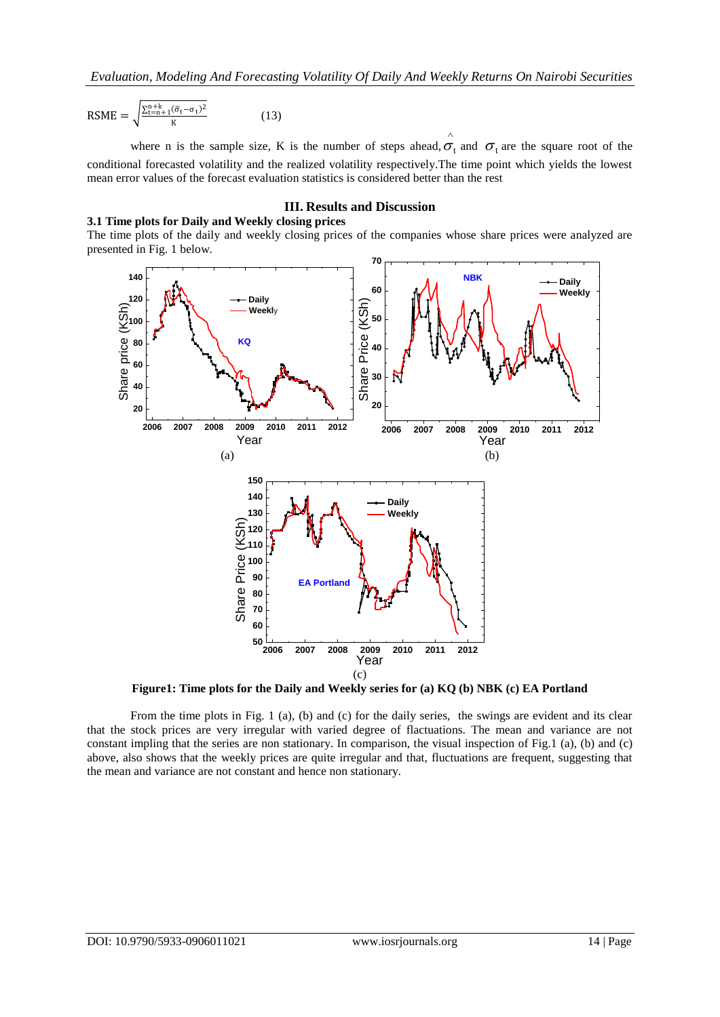$$
RSME = \sqrt{\frac{\Sigma_{t=n+1}^{n+k}(\hat{\sigma}_t - \sigma_t)^2}{K}}
$$
(13)

where n is the sample size, K is the number of steps ahead,  $\sigma_t$  and  $\sigma_t$  are the square root of the conditional forecasted volatility and the realized volatility respectively.The time point which yields the lowest mean error values of the forecast evaluation statistics is considered better than the rest

 $\wedge$ 

#### **III. Results and Discussion**

## **3.1 Time plots for Daily and Weekly closing prices**

The time plots of the daily and weekly closing prices of the companies whose share prices were analyzed are presented in Fig. 1 below.



**Figure1: Time plots for the Daily and Weekly series for (a) KQ (b) NBK (c) EA Portland**

From the time plots in Fig. 1 (a), (b) and (c) for the daily series, the swings are evident and its clear that the stock prices are very irregular with varied degree of flactuations. The mean and variance are not constant impling that the series are non stationary. In comparison, the visual inspection of Fig.1 (a), (b) and (c) above, also shows that the weekly prices are quite irregular and that, fluctuations are frequent, suggesting that the mean and variance are not constant and hence non stationary.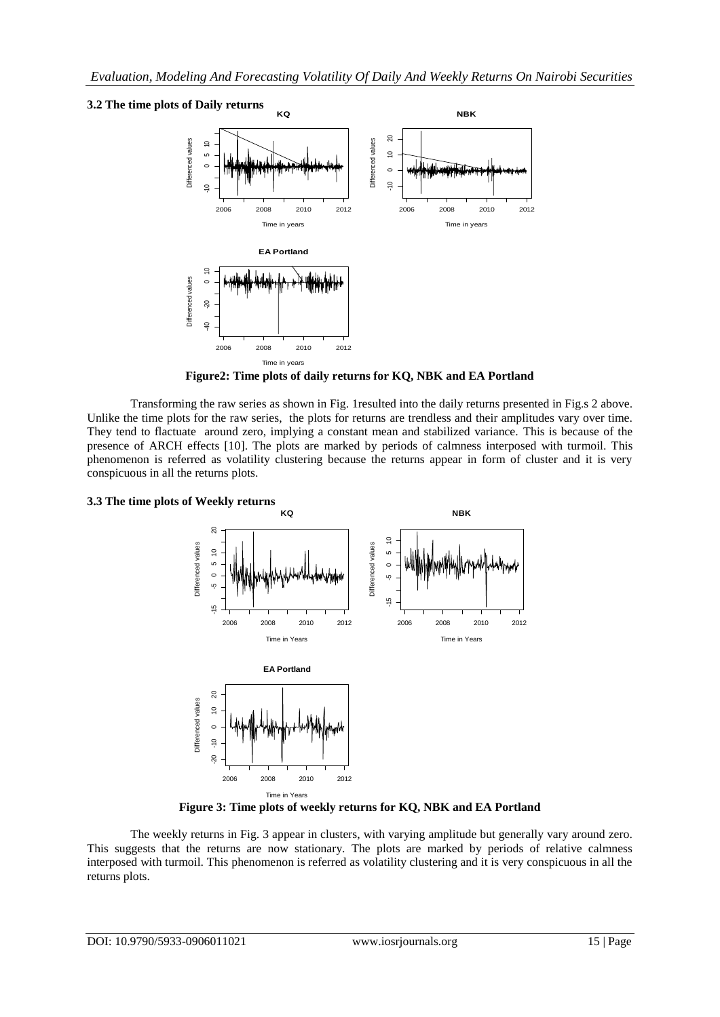## **3.2 The time plots of Daily returns**



**Figure2: Time plots of daily returns for KQ, NBK and EA Portland**

Transforming the raw series as shown in Fig. 1resulted into the daily returns presented in Fig.s 2 above. Unlike the time plots for the raw series, the plots for returns are trendless and their amplitudes vary over time. They tend to flactuate around zero, implying a constant mean and stabilized variance. This is because of the presence of ARCH effects [10]. The plots are marked by periods of calmness interposed with turmoil. This phenomenon is referred as volatility clustering because the returns appear in form of cluster and it is very conspicuous in all the returns plots.

## **3.3 The time plots of Weekly returns**



**Figure 3: Time plots of weekly returns for KQ, NBK and EA Portland**

The weekly returns in Fig. 3 appear in clusters, with varying amplitude but generally vary around zero. This suggests that the returns are now stationary. The plots are marked by periods of relative calmness interposed with turmoil. This phenomenon is referred as volatility clustering and it is very conspicuous in all the returns plots.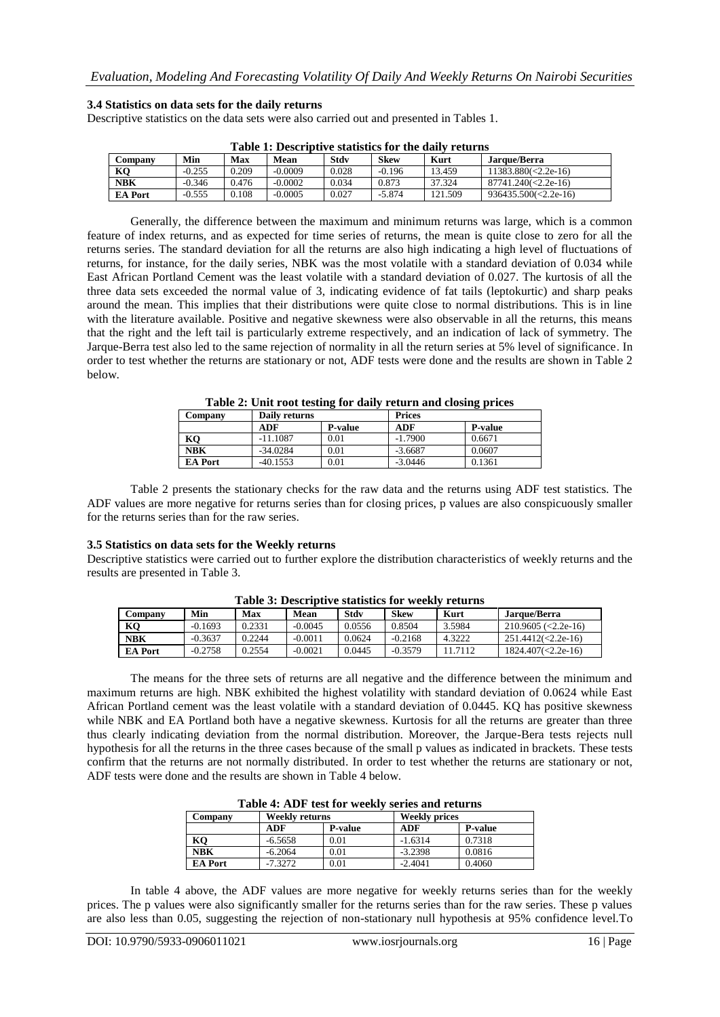#### **3.4 Statistics on data sets for the daily returns**

Descriptive statistics on the data sets were also carried out and presented in Tables 1.

| Table 1: Describuve statistics for the gaily returns |          |       |           |       |             |         |                            |  |  |
|------------------------------------------------------|----------|-------|-----------|-------|-------------|---------|----------------------------|--|--|
| Company                                              | Min      | Max   | Mean      | Stdv  | <b>Skew</b> | Kurt    | Jarque/Berra               |  |  |
| K <sub>O</sub>                                       | $-0.255$ | ).209 | $-0.0009$ | 0.028 | $-0.196$    | 13.459  | $11383.880 \times 2.2e-16$ |  |  |
| <b>NBK</b>                                           | $-0.346$ | 0.476 | $-0.0002$ | 0.034 | 0.873       | 37.324  | $87741.240 \times 2.2e-16$ |  |  |
| <b>EA Port</b>                                       | $-0.555$ | 1.108 | $-0.0005$ | 0.027 | $-5.874$    | 121.509 | $936435.500 \le 2.2e-16$   |  |  |

**Table 1: Descriptive statistics for the daily returns**

Generally, the difference between the maximum and minimum returns was large, which is a common feature of index returns, and as expected for time series of returns, the mean is quite close to zero for all the returns series. The standard deviation for all the returns are also high indicating a high level of fluctuations of returns, for instance, for the daily series, NBK was the most volatile with a standard deviation of 0.034 while East African Portland Cement was the least volatile with a standard deviation of 0.027. The kurtosis of all the three data sets exceeded the normal value of 3, indicating evidence of fat tails (leptokurtic) and sharp peaks around the mean. This implies that their distributions were quite close to normal distributions. This is in line with the literature available. Positive and negative skewness were also observable in all the returns, this means that the right and the left tail is particularly extreme respectively, and an indication of lack of symmetry. The Jarque-Berra test also led to the same rejection of normality in all the return series at 5% level of significance. In order to test whether the returns are stationary or not, ADF tests were done and the results are shown in Table 2 below.

**Table 2: Unit root testing for daily return and closing prices**

| Company        | Daily returns |                | <b>Prices</b> |                |
|----------------|---------------|----------------|---------------|----------------|
|                | ADF           | <b>P-value</b> | ADF           | <b>P-value</b> |
| KQ             | $-11.1087$    | 0.01           | $-1.7900$     | 0.6671         |
| <b>NBK</b>     | $-34.0284$    | 0.01           | $-3.6687$     | 0.0607         |
| <b>EA Port</b> | $-40.1553$    | 0.01           | $-3.0446$     | 0.1361         |

Table 2 presents the stationary checks for the raw data and the returns using ADF test statistics. The ADF values are more negative for returns series than for closing prices, p values are also conspicuously smaller for the returns series than for the raw series.

#### **3.5 Statistics on data sets for the Weekly returns**

Descriptive statistics were carried out to further explore the distribution characteristics of weekly returns and the results are presented in Table 3.

| таріс эт резентрате знаизися топ местат генатия |           |        |           |        |             |         |                            |  |  |
|-------------------------------------------------|-----------|--------|-----------|--------|-------------|---------|----------------------------|--|--|
| Company                                         | Min       | Max    | Mean      | Stdv   | <b>Skew</b> | Kurt    | Jarque/Berra               |  |  |
| KО                                              | $-0.1693$ | 0.2331 | $-0.0045$ | 0.0556 | 0.8504      | 3.5984  | $210.9605 \approx 2.2e-16$ |  |  |
| <b>NBK</b>                                      | $-0.3637$ | 0.2244 | $-0.0011$ | 0.0624 | $-0.2168$   | 4.3222  | $251.4412 \times 2.2e-16$  |  |  |
| <b>EA Port</b>                                  | $-0.2758$ | 0.2554 | $-0.0021$ | 0.0445 | $-0.3579$   | 11.7112 | $1824.407 \times 2.2e-16$  |  |  |

**Table 3: Descriptive statistics for weekly returns**

The means for the three sets of returns are all negative and the difference between the minimum and maximum returns are high. NBK exhibited the highest volatility with standard deviation of 0.0624 while East African Portland cement was the least volatile with a standard deviation of 0.0445. KQ has positive skewness while NBK and EA Portland both have a negative skewness. Kurtosis for all the returns are greater than three thus clearly indicating deviation from the normal distribution. Moreover, the Jarque-Bera tests rejects null hypothesis for all the returns in the three cases because of the small p values as indicated in brackets. These tests confirm that the returns are not normally distributed. In order to test whether the returns are stationary or not, ADF tests were done and the results are shown in Table 4 below.

|         |                | Table 4: ADF test for weekly series and returns |                      |                |  |
|---------|----------------|-------------------------------------------------|----------------------|----------------|--|
| Company | Weekly returns |                                                 | <b>Weekly prices</b> |                |  |
|         | ADF            | <b>P-value</b>                                  | ADF                  | <b>P-value</b> |  |
| ---     |                | - - -                                           | .                    | - - - - -      |  |

|                | ADF       | <b>P-value</b> | ADF       | <b>P-value</b> |
|----------------|-----------|----------------|-----------|----------------|
| KO             | $-6.5658$ | 0.01           | $-1.6314$ | 0.7318         |
| <b>NBK</b>     | $-6.2064$ | $_{0.01}$      | $-3.2398$ | 0.0816         |
| <b>EA Port</b> | $-7.3272$ | 0.01           | $-2.4041$ | 0.4060         |
|                |           |                |           |                |

In table 4 above, the ADF values are more negative for weekly returns series than for the weekly prices. The p values were also significantly smaller for the returns series than for the raw series. These p values are also less than 0.05, suggesting the rejection of non-stationary null hypothesis at 95% confidence level.To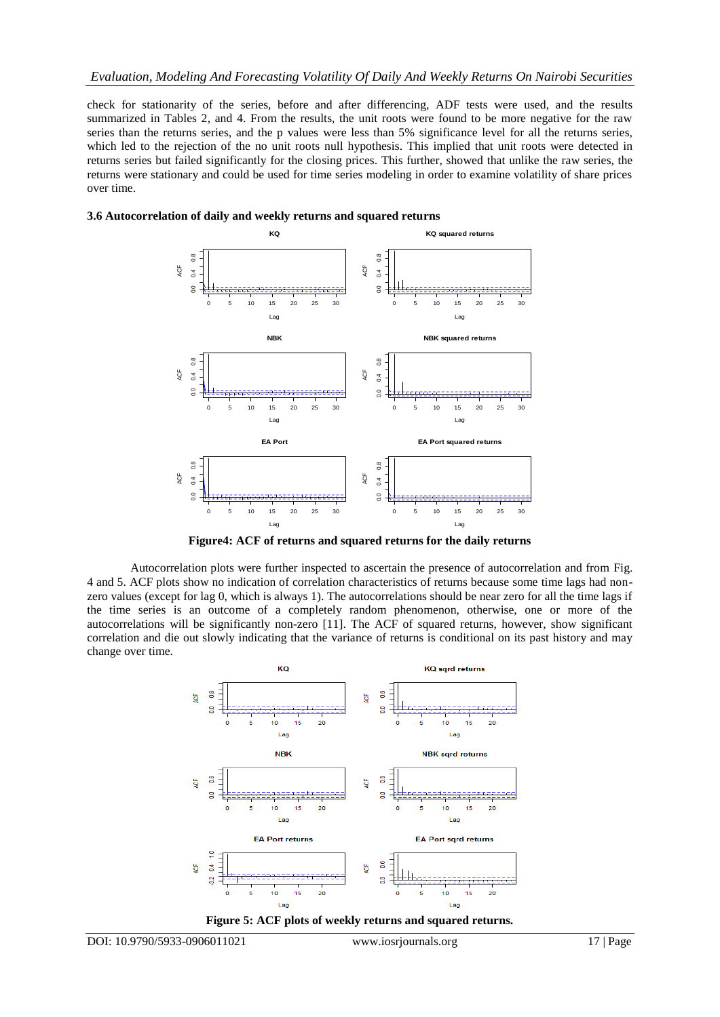check for stationarity of the series, before and after differencing, ADF tests were used, and the results summarized in Tables 2, and 4. From the results, the unit roots were found to be more negative for the raw series than the returns series, and the p values were less than 5% significance level for all the returns series, which led to the rejection of the no unit roots null hypothesis. This implied that unit roots were detected in returns series but failed significantly for the closing prices. This further, showed that unlike the raw series, the returns were stationary and could be used for time series modeling in order to examine volatility of share prices over time.





**Figure4: ACF of returns and squared returns for the daily returns**

Autocorrelation plots were further inspected to ascertain the presence of autocorrelation and from Fig. 4 and 5. ACF plots show no indication of correlation characteristics of returns because some time lags had nonzero values (except for lag 0, which is always 1). The autocorrelations should be near zero for all the time lags if the time series is an outcome of a completely random phenomenon, otherwise, one or more of the autocorrelations will be significantly non-zero [11]. The ACF of squared returns, however, show significant correlation and die out slowly indicating that the variance of returns is conditional on its past history and may change over time.

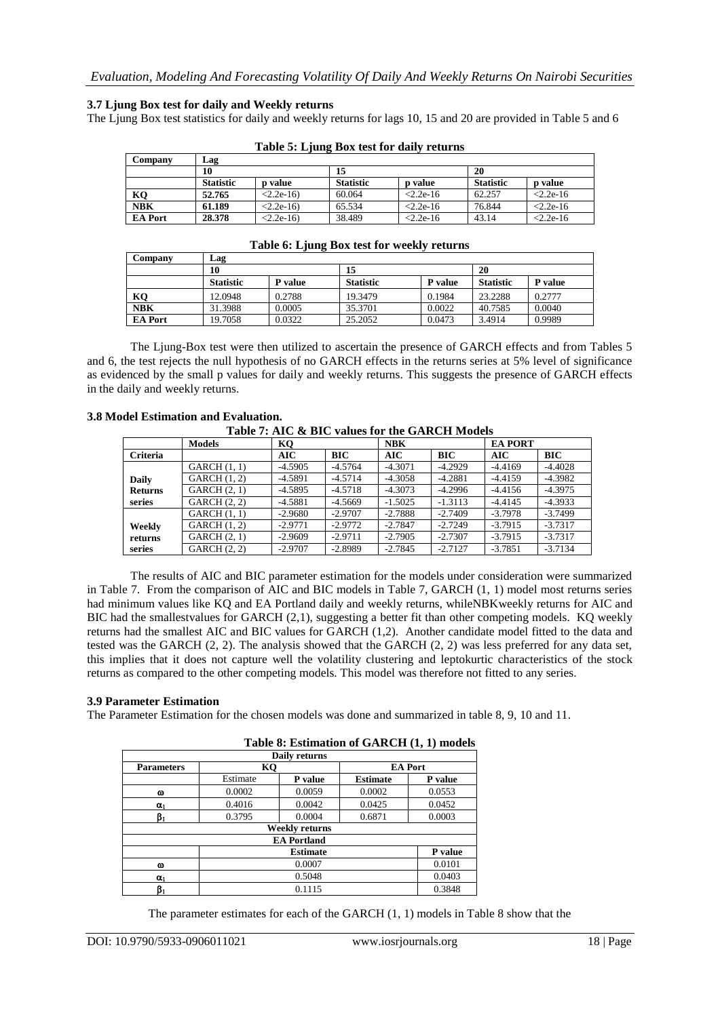## **3.7 Ljung Box test for daily and Weekly returns**

The Ljung Box test statistics for daily and weekly returns for lags 10, 15 and 20 are provided in Table 5 and 6

| Company        | Lag       |                |                  |                |                  |                |
|----------------|-----------|----------------|------------------|----------------|------------------|----------------|
|                | 10        |                | 15               |                | 20               |                |
|                | Statistic | <b>p</b> value | <b>Statistic</b> | <b>p</b> value | <b>Statistic</b> | <b>p</b> value |
| KQ             | 52.765    | $< 2.2e-16$    | 60.064           | $< 2.2e-16$    | 62.257           | $< 2.2e-16$    |
| <b>NBK</b>     | 61.189    | $< 2.2e-16$    | 65.534           | $< 2.2e-16$    | 76.844           | $< 2.2e-16$    |
| <b>EA Port</b> | 28.378    | $< 2.2e-16$    | 38.489           | $< 2.2e-16$    | 43.14            | $< 2.2e-16$    |

|  |  | Table 5: Ljung Box test for daily returns |  |  |
|--|--|-------------------------------------------|--|--|

#### **Table 6: Ljung Box test for weekly returns**

| Company        | Lag              |          |                  |         |                  |         |  |
|----------------|------------------|----------|------------------|---------|------------------|---------|--|
|                | 10               | 15<br>20 |                  |         |                  |         |  |
|                | <b>Statistic</b> | P value  | <b>Statistic</b> | P value | <b>Statistic</b> | P value |  |
| KO             | 12.0948          | 0.2788   | 19.3479          | 0.1984  | 23.2288          | 0.2777  |  |
| <b>NBK</b>     | 31.3988          | 0.0005   | 35.3701          | 0.0022  | 40.7585          | 0.0040  |  |
| <b>EA</b> Port | 19.7058          | 0.0322   | 25.2052          | 0.0473  | 3.4914           | 0.9989  |  |

The Ljung-Box test were then utilized to ascertain the presence of GARCH effects and from Tables 5 and 6, the test rejects the null hypothesis of no GARCH effects in the returns series at 5% level of significance as evidenced by the small p values for daily and weekly returns. This suggests the presence of GARCH effects in the daily and weekly returns.

#### **3.8 Model Estimation and Evaluation.**

**Table 7: AIC & BIC values for the GARCH Models**

|                 | <b>Models</b>       | KO        |           | <b>NBK</b> |           | <b>EA PORT</b> |           |
|-----------------|---------------------|-----------|-----------|------------|-----------|----------------|-----------|
| <b>Criteria</b> |                     | AIC       | BIC       | AIC        | BIC       | AIC            | BIC       |
|                 | GARCH(1, 1)         | $-4.5905$ | $-4.5764$ | $-4.3071$  | $-4.2929$ | $-4.4169$      | $-4.4028$ |
| <b>Daily</b>    | GARCH(1, 2)         | $-4.5891$ | $-4.5714$ | $-4.3058$  | $-4.2881$ | $-4.4159$      | $-4.3982$ |
| <b>Returns</b>  | <b>GARCH</b> (2, 1) | -4.5895   | $-4.5718$ | $-4.3073$  | $-4.2996$ | $-4.4156$      | $-4.3975$ |
| series          | <b>GARCH</b> (2, 2) | $-4.5881$ | $-4.5669$ | $-1.5025$  | $-1.3113$ | $-4.4145$      | $-4.3933$ |
|                 | GARCH(1, 1)         | $-2.9680$ | $-2.9707$ | $-2.7888$  | $-2.7409$ | $-3.7978$      | $-3.7499$ |
| Weekly          | GARCH(1, 2)         | $-2.9771$ | $-2.9772$ | $-2.7847$  | $-2.7249$ | $-3.7915$      | $-3.7317$ |
| returns         | <b>GARCH</b> (2, 1) | $-2.9609$ | $-2.9711$ | $-2.7905$  | $-2.7307$ | $-3.7915$      | $-3.7317$ |
| series          | GARCH (2, 2)        | $-2.9707$ | $-2.8989$ | $-2.7845$  | $-2.7127$ | $-3.7851$      | $-3.7134$ |

The results of AIC and BIC parameter estimation for the models under consideration were summarized in Table 7. From the comparison of AIC and BIC models in Table 7, GARCH (1, 1) model most returns series had minimum values like KQ and EA Portland daily and weekly returns, whileNBKweekly returns for AIC and BIC had the smallestvalues for GARCH (2,1), suggesting a better fit than other competing models. KO weekly returns had the smallest AIC and BIC values for GARCH (1,2). Another candidate model fitted to the data and tested was the GARCH (2, 2). The analysis showed that the GARCH (2, 2) was less preferred for any data set, this implies that it does not capture well the volatility clustering and leptokurtic characteristics of the stock returns as compared to the other competing models. This model was therefore not fitted to any series.

#### **3.9 Parameter Estimation**

The Parameter Estimation for the chosen models was done and summarized in table 8, 9, 10 and 11.

|                   |          |                    | Table 6. Estimation of GARCH (1, 1) models |                |
|-------------------|----------|--------------------|--------------------------------------------|----------------|
|                   |          | Daily returns      |                                            |                |
| <b>Parameters</b> | КQ       |                    |                                            | <b>EA Port</b> |
|                   | Estimate | P value            | <b>Estimate</b>                            | P value        |
| $\omega$          | 0.0002   | 0.0059             | 0.0002                                     | 0.0553         |
| $\alpha_1$        | 0.4016   | 0.0042             | 0.0425                                     | 0.0452         |
| βı                | 0.3795   | 0.0004             | 0.6871                                     | 0.0003         |
|                   |          | Weekly returns     |                                            |                |
|                   |          | <b>EA Portland</b> |                                            |                |
|                   |          | <b>Estimate</b>    |                                            | P value        |
| ω                 |          | 0.0007             |                                            | 0.0101         |
| $\alpha_1$        |          | 0.5048             |                                            | 0.0403         |
| $\beta_1$         |          | 0.1115             |                                            | 0.3848         |

# **Table 8: Estimation of GARCH (1, 1) models**

The parameter estimates for each of the GARCH (1, 1) models in Table 8 show that the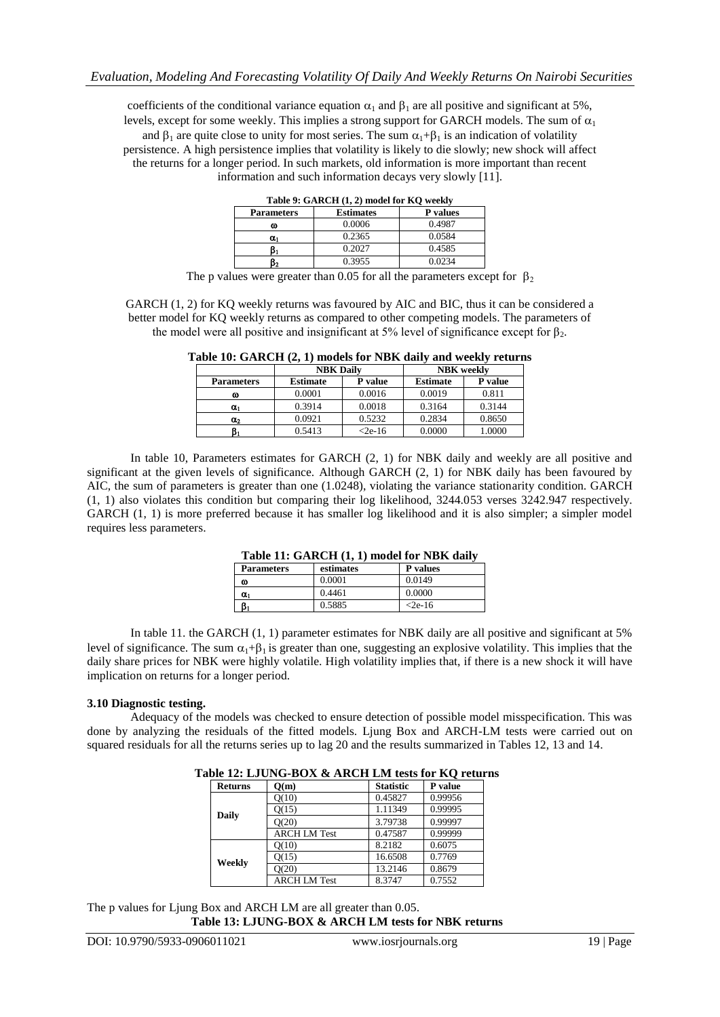coefficients of the conditional variance equation  $\alpha_1$  and  $\beta_1$  are all positive and significant at 5%, levels, except for some weekly. This implies a strong support for GARCH models. The sum of  $\alpha_1$ and  $\beta_1$  are quite close to unity for most series. The sum  $\alpha_1+\beta_1$  is an indication of volatility persistence. A high persistence implies that volatility is likely to die slowly; new shock will affect the returns for a longer period. In such markets, old information is more important than recent information and such information decays very slowly [11].

| Table 9: GARCH (1, 2) model for KQ weekly |                  |                 |  |  |  |  |  |
|-------------------------------------------|------------------|-----------------|--|--|--|--|--|
| <b>Parameters</b>                         | <b>Estimates</b> | <b>P</b> values |  |  |  |  |  |
| ω                                         | 0.0006           | 0.4987          |  |  |  |  |  |
| α,                                        | 0.2365           | 0.0584          |  |  |  |  |  |
|                                           | 0.2027           | 0.4585          |  |  |  |  |  |
|                                           | 0.3955           | 0.0234          |  |  |  |  |  |

The p values were greater than 0.05 for all the parameters except for  $\beta_2$ 

GARCH (1, 2) for KQ weekly returns was favoured by AIC and BIC, thus it can be considered a better model for KQ weekly returns as compared to other competing models. The parameters of the model were all positive and insignificant at 5% level of significance except for  $\beta_2$ .

|                   | <b>NBK</b> Daily |          | <b>NBK</b> weekly |         |  |  |  |  |
|-------------------|------------------|----------|-------------------|---------|--|--|--|--|
| <b>Parameters</b> | <b>Estimate</b>  | P value  | <b>Estimate</b>   | P value |  |  |  |  |
| ω                 | 0.0001           | 0.0016   | 0.0019            | 0.811   |  |  |  |  |
| $\alpha_1$        | 0.3914           | 0.0018   | 0.3164            | 0.3144  |  |  |  |  |
| $\alpha_2$        | 0.0921           | 0.5232   | 0.2834            | 0.8650  |  |  |  |  |
| ß,                | 0.5413           | $<2e-16$ | 0.0000            | 1.0000  |  |  |  |  |

**Table 10: GARCH (2, 1) models for NBK daily and weekly returns**

In table 10, Parameters estimates for GARCH (2, 1) for NBK daily and weekly are all positive and significant at the given levels of significance. Although GARCH (2, 1) for NBK daily has been favoured by AIC, the sum of parameters is greater than one (1.0248), violating the variance stationarity condition. GARCH (1, 1) also violates this condition but comparing their log likelihood, 3244.053 verses 3242.947 respectively. GARCH (1, 1) is more preferred because it has smaller log likelihood and it is also simpler; a simpler model requires less parameters.

| Table 11: GARCH (1, 1) model for NBK daily |           |                 |  |  |  |
|--------------------------------------------|-----------|-----------------|--|--|--|
| <b>Parameters</b>                          | estimates | <b>P</b> values |  |  |  |

| <b>Parameters</b> | estimates | <b>P</b> values |
|-------------------|-----------|-----------------|
| ω                 | 0.0001    | 0.0149          |
| $\alpha_1$        | 0.4461    | 0.0000          |
|                   | 0.5885    | $<$ 2e-16       |
|                   |           |                 |

In table 11. the GARCH (1, 1) parameter estimates for NBK daily are all positive and significant at 5% level of significance. The sum  $\alpha_1 + \beta_1$  is greater than one, suggesting an explosive volatility. This implies that the daily share prices for NBK were highly volatile. High volatility implies that, if there is a new shock it will have implication on returns for a longer period.

#### **3.10 Diagnostic testing.**

Adequacy of the models was checked to ensure detection of possible model misspecification. This was done by analyzing the residuals of the fitted models. Ljung Box and ARCH-LM tests were carried out on squared residuals for all the returns series up to lag 20 and the results summarized in Tables 12, 13 and 14.

| $0.12$ av $1.22$ and $2.12$ avere $10.2$ and $1.2$ avere $1.2$ |                     |                  |         |  |  |
|----------------------------------------------------------------|---------------------|------------------|---------|--|--|
| <b>Returns</b>                                                 | Q(m)                | <b>Statistic</b> | P value |  |  |
| Daily                                                          | Q(10)               | 0.45827          | 0.99956 |  |  |
|                                                                | Q(15)               | 1.11349          | 0.99995 |  |  |
|                                                                | O(20)               | 3.79738          | 0.99997 |  |  |
|                                                                | <b>ARCH LM Test</b> | 0.47587          | 0.99999 |  |  |
| Weekly                                                         | O(10)               | 8.2182           | 0.6075  |  |  |
|                                                                | Q(15)               | 16.6508          | 0.7769  |  |  |
|                                                                | O(20)               | 13.2146          | 0.8679  |  |  |
|                                                                | <b>ARCH LM Test</b> | 8.3747           | 0.7552  |  |  |

**Table 12: LJUNG-BOX & ARCH LM tests for KQ returns**

The p values for Ljung Box and ARCH LM are all greater than 0.05. **Table 13: LJUNG-BOX & ARCH LM tests for NBK returns**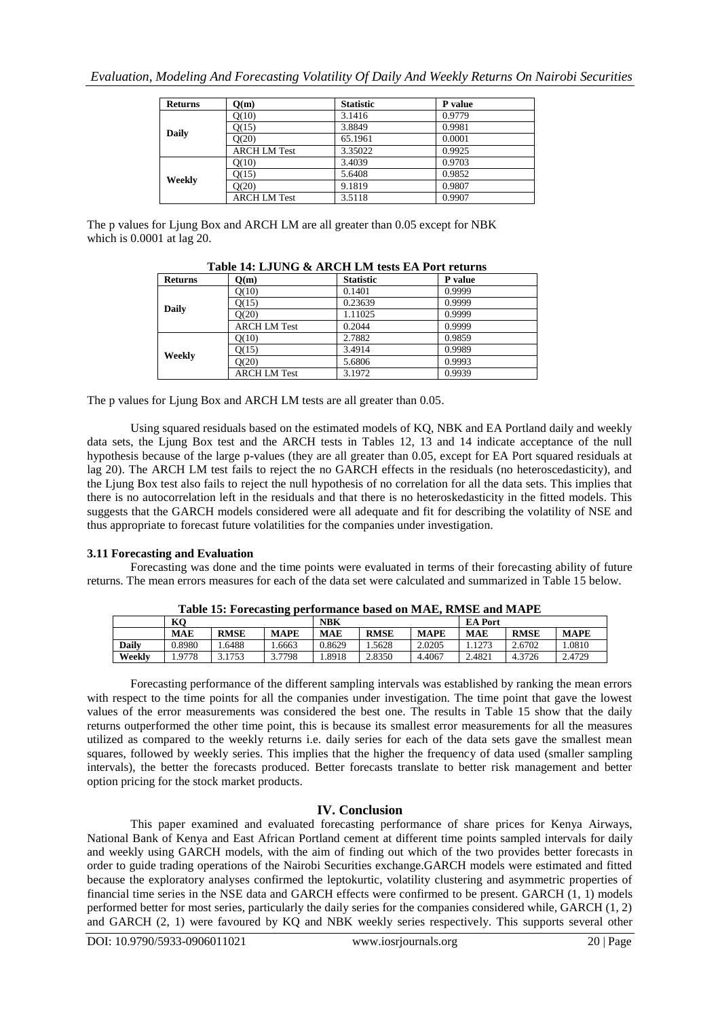| <b>Returns</b> | O(m)                | <b>Statistic</b> | P value |
|----------------|---------------------|------------------|---------|
| Daily          | O(10)               | 3.1416           | 0.9779  |
|                | O(15)               | 3.8849           | 0.9981  |
|                | O(20)               | 65.1961          | 0.0001  |
|                | <b>ARCH LM Test</b> | 3.35022          | 0.9925  |
| Weekly         | O(10)               | 3.4039           | 0.9703  |
|                | O(15)               | 5.6408           | 0.9852  |
|                | O(20)               | 9.1819           | 0.9807  |
|                | <b>ARCH LM Test</b> | 3.5118           | 0.9907  |

The p values for Ljung Box and ARCH LM are all greater than 0.05 except for NBK which is 0.0001 at lag 20.

| <b>Returns</b> | Q(m)                | <b>Statistic</b> | P value |
|----------------|---------------------|------------------|---------|
| <b>Daily</b>   | Q(10)               | 0.1401           | 0.9999  |
|                | Q(15)               | 0.23639          | 0.9999  |
|                | O(20)               | 1.11025          | 0.9999  |
|                | <b>ARCH LM Test</b> | 0.2044           | 0.9999  |
|                | Q(10)               | 2.7882           | 0.9859  |
| Weekly         | Q(15)               | 3.4914           | 0.9989  |
|                | O(20)               | 5.6806           | 0.9993  |
|                | <b>ARCH LM Test</b> | 3.1972           | 0.9939  |

**Table 14: LJUNG & ARCH LM tests EA Port returns**

The p values for Ljung Box and ARCH LM tests are all greater than 0.05.

Using squared residuals based on the estimated models of KQ, NBK and EA Portland daily and weekly data sets, the Ljung Box test and the ARCH tests in Tables 12, 13 and 14 indicate acceptance of the null hypothesis because of the large p-values (they are all greater than 0.05, except for EA Port squared residuals at lag 20). The ARCH LM test fails to reject the no GARCH effects in the residuals (no heteroscedasticity), and the Ljung Box test also fails to reject the null hypothesis of no correlation for all the data sets. This implies that there is no autocorrelation left in the residuals and that there is no heteroskedasticity in the fitted models. This suggests that the GARCH models considered were all adequate and fit for describing the volatility of NSE and thus appropriate to forecast future volatilities for the companies under investigation.

## **3.11 Forecasting and Evaluation**

Forecasting was done and the time points were evaluated in terms of their forecasting ability of future returns. The mean errors measures for each of the data set were calculated and summarized in Table 15 below.

| Tubic Ici I of ceasung performance sasea on mining Kimbil and mini il |            |             |             |            |             |             |                |             |             |
|-----------------------------------------------------------------------|------------|-------------|-------------|------------|-------------|-------------|----------------|-------------|-------------|
|                                                                       | KО         |             |             | <b>NBK</b> |             |             | <b>EA Port</b> |             |             |
|                                                                       | <b>MAE</b> | <b>RMSE</b> | <b>MAPE</b> | <b>MAE</b> | <b>RMSE</b> | <b>MAPE</b> | <b>MAE</b>     | <b>RMSE</b> | <b>MAPE</b> |
| <b>Daily</b>                                                          | 0.8980     | .6488       | .6663       | 0.8629     | .5628       | 2.0205      | .1273          | 2.6702      | .0810       |
| Weekly                                                                | .9778      | 3.1753      | 3.7798      | .8918      | 2.8350      | 4.4067      | 2.4821         | 4.3726      | 2.4729      |

**Table 15: Forecasting performance based on MAE, RMSE and MAPE**

Forecasting performance of the different sampling intervals was established by ranking the mean errors with respect to the time points for all the companies under investigation. The time point that gave the lowest values of the error measurements was considered the best one. The results in Table 15 show that the daily returns outperformed the other time point, this is because its smallest error measurements for all the measures utilized as compared to the weekly returns i.e. daily series for each of the data sets gave the smallest mean squares, followed by weekly series. This implies that the higher the frequency of data used (smaller sampling intervals), the better the forecasts produced. Better forecasts translate to better risk management and better option pricing for the stock market products.

# **IV. Conclusion**

This paper examined and evaluated forecasting performance of share prices for Kenya Airways, National Bank of Kenya and East African Portland cement at different time points sampled intervals for daily and weekly using GARCH models, with the aim of finding out which of the two provides better forecasts in order to guide trading operations of the Nairobi Securities exchange.GARCH models were estimated and fitted because the exploratory analyses confirmed the leptokurtic, volatility clustering and asymmetric properties of financial time series in the NSE data and GARCH effects were confirmed to be present. GARCH (1, 1) models performed better for most series, particularly the daily series for the companies considered while, GARCH (1, 2) and GARCH (2, 1) were favoured by KQ and NBK weekly series respectively. This supports several other